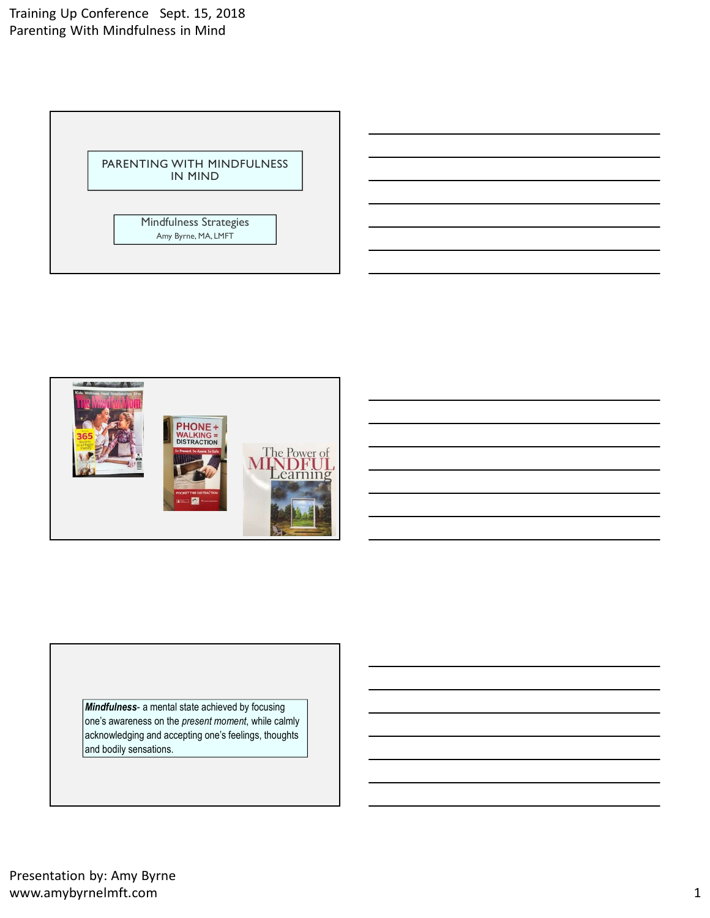Training Up Conference Sept. 15, 2018 Parenting With Mindfulness in Mind





Mindfulness- a mental state achieved by focusing<br>
one's awareness on the *present moment*, while calling<br>
acknowledging and accepting one's feelings, thoughts<br>
and bodily sensations.<br>
Presentation by: Amy Byrne<br>
Www.amybyr one's awareness on the present moment, while calmly acknowledging and accepting one's feelings, thoughts and bodily sensations.

Presentation by: Amy Byrne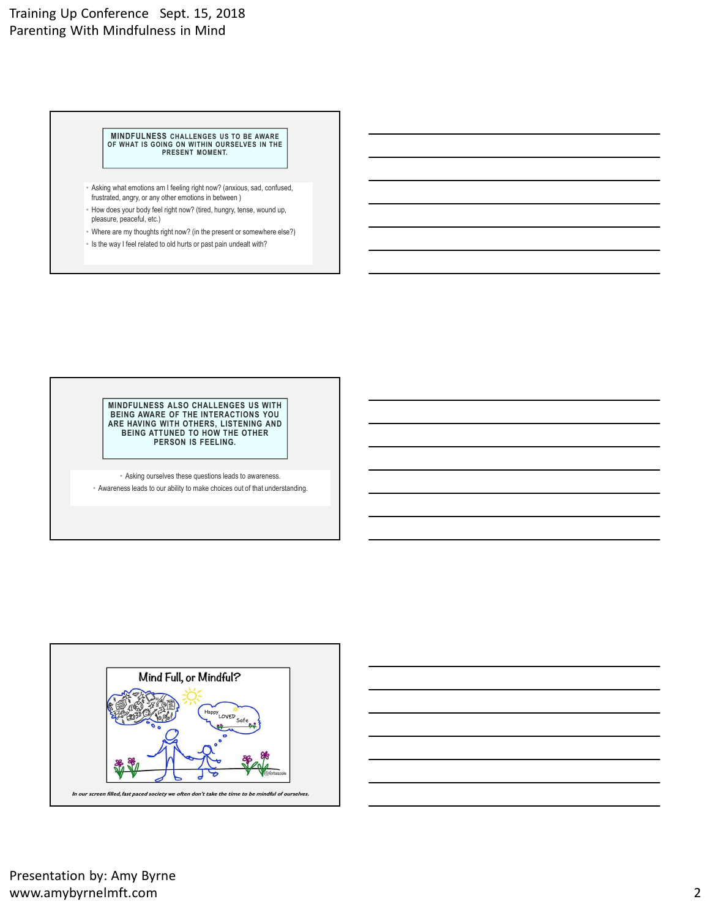# Training Up Conference Sept. 15, 2018 Parenting With Mindfulness in Mind For Windfullness in Mind<br>
th Mindfullness in Mind<br>
Tor Wink Tis Gonk With November over the Source of the AMARE<br>
The Source of Wink Tis Gonk Within OURISELVES IN THE<br>
- Asking what emotions an I feeling right now? (lanking

MINDFULNESS CHALLENGES US TO BE AWARE<br>OF WHAT IS GOING ON WITHIN OURSELVES IN THE **AND THE SERVICE OF A DIST**<br>PRESENT MOMENT.

- Asking what emotions am I feeling right now? (anxious, sad, confused, frustrated, angry, or any other emotions in between )
- pleasure, peaceful, etc.)
- Where are my thoughts right now? (in the present or somewhere else?)
- Is the way I feel related to old hurts or past pain undealt with?

MINDFULNESS ALSO CHALLENGES US WITH BEING AWARE OF THE INTERACTIONS YOU ARE HAVING WITH OTHERS, LISTENING AND BEING ATTUNED TO HOW THE OTHER PERSON IS FEELING. visite yield a moldon son lifeling right now? (leads)<br>
visited and the right now? (leads) hundred in the choices out our ability to make choices out our follows are able right now? (leads that understanding.)<br>
The way if l

• Asking ourselves these questions leads to awareness.





Presentation by: Amy Byrne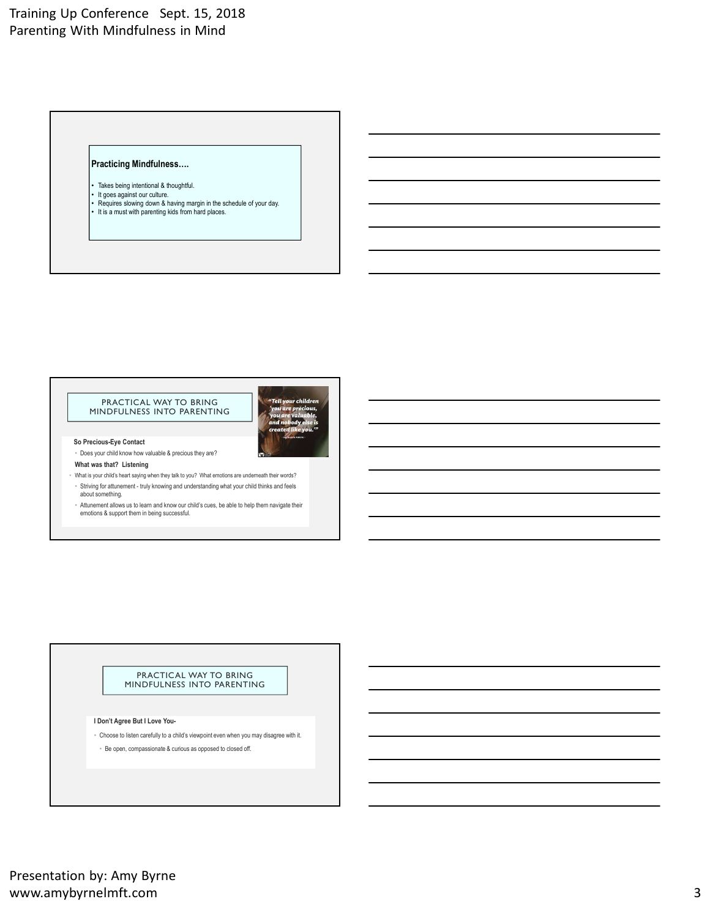# Training Up Conference Sept. 15, 2018 Parenting With Mindfulness in Mind expecticing Mindfulness in Mind<br>
h Mindfulness in Mind<br>
Fracticing Mindfulness....<br>
• Takes being intentional & houghtful.<br>
• It is a must with parenting kids from hard places.<br>
• It is a must with parenting kids from hard

# Practicing Mindfulness….

- 
- 

# PRACTICAL WAY TO BRING MINDFULNESS INTO PARENTING



So Precious-Eye Contact

- about something. I Don't Agree But I Love You-<br>
Source You Constant C Hop books to a child with a project with a child with a child with a child with a children compassion of the project with it. • Constant C Hop books and you may disagre
- 

# PRACTICAL WAY TO BRING MINDFULNESS INTO PARENTING

- 
-